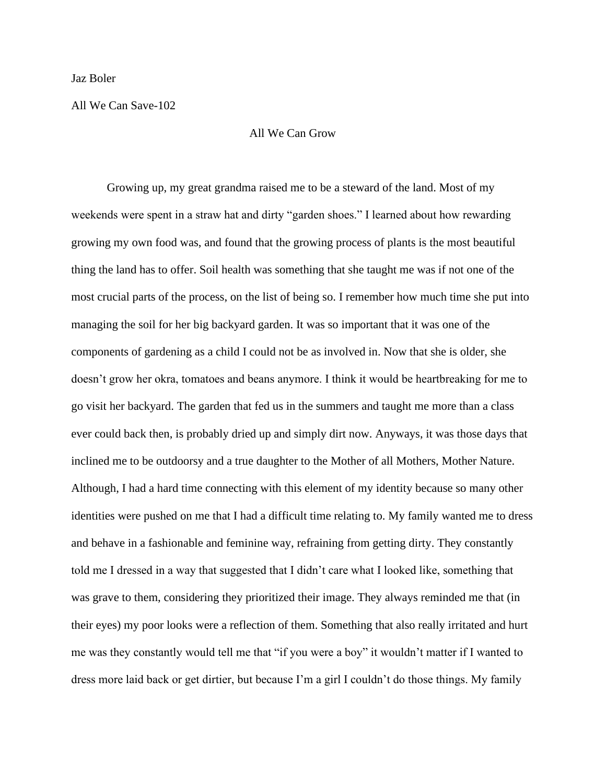## Jaz Boler

## All We Can Save-102

## All We Can Grow

Growing up, my great grandma raised me to be a steward of the land. Most of my weekends were spent in a straw hat and dirty "garden shoes." I learned about how rewarding growing my own food was, and found that the growing process of plants is the most beautiful thing the land has to offer. Soil health was something that she taught me was if not one of the most crucial parts of the process, on the list of being so. I remember how much time she put into managing the soil for her big backyard garden. It was so important that it was one of the components of gardening as a child I could not be as involved in. Now that she is older, she doesn't grow her okra, tomatoes and beans anymore. I think it would be heartbreaking for me to go visit her backyard. The garden that fed us in the summers and taught me more than a class ever could back then, is probably dried up and simply dirt now. Anyways, it was those days that inclined me to be outdoorsy and a true daughter to the Mother of all Mothers, Mother Nature. Although, I had a hard time connecting with this element of my identity because so many other identities were pushed on me that I had a difficult time relating to. My family wanted me to dress and behave in a fashionable and feminine way, refraining from getting dirty. They constantly told me I dressed in a way that suggested that I didn't care what I looked like, something that was grave to them, considering they prioritized their image. They always reminded me that (in their eyes) my poor looks were a reflection of them. Something that also really irritated and hurt me was they constantly would tell me that "if you were a boy" it wouldn't matter if I wanted to dress more laid back or get dirtier, but because I'm a girl I couldn't do those things. My family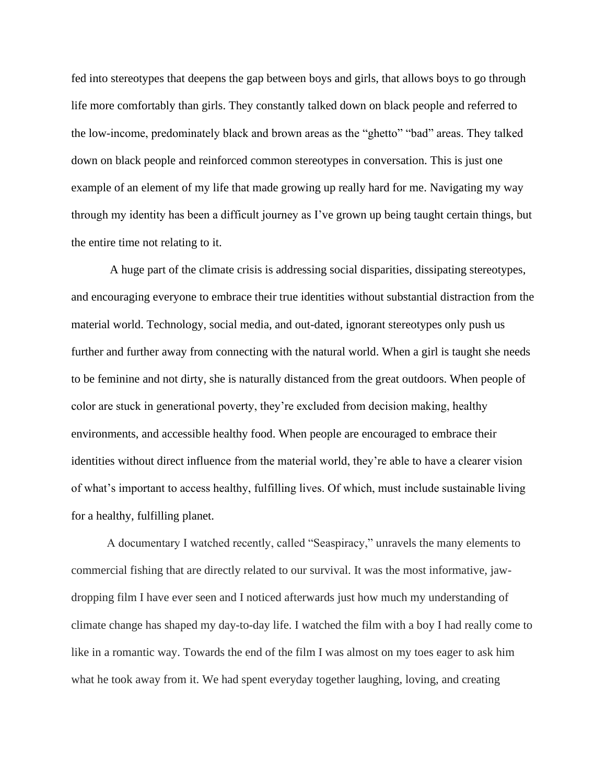fed into stereotypes that deepens the gap between boys and girls, that allows boys to go through life more comfortably than girls. They constantly talked down on black people and referred to the low-income, predominately black and brown areas as the "ghetto" "bad" areas. They talked down on black people and reinforced common stereotypes in conversation. This is just one example of an element of my life that made growing up really hard for me. Navigating my way through my identity has been a difficult journey as I've grown up being taught certain things, but the entire time not relating to it.

A huge part of the climate crisis is addressing social disparities, dissipating stereotypes, and encouraging everyone to embrace their true identities without substantial distraction from the material world. Technology, social media, and out-dated, ignorant stereotypes only push us further and further away from connecting with the natural world. When a girl is taught she needs to be feminine and not dirty, she is naturally distanced from the great outdoors. When people of color are stuck in generational poverty, they're excluded from decision making, healthy environments, and accessible healthy food. When people are encouraged to embrace their identities without direct influence from the material world, they're able to have a clearer vision of what's important to access healthy, fulfilling lives. Of which, must include sustainable living for a healthy, fulfilling planet.

A documentary I watched recently, called "Seaspiracy," unravels the many elements to commercial fishing that are directly related to our survival. It was the most informative, jawdropping film I have ever seen and I noticed afterwards just how much my understanding of climate change has shaped my day-to-day life. I watched the film with a boy I had really come to like in a romantic way. Towards the end of the film I was almost on my toes eager to ask him what he took away from it. We had spent everyday together laughing, loving, and creating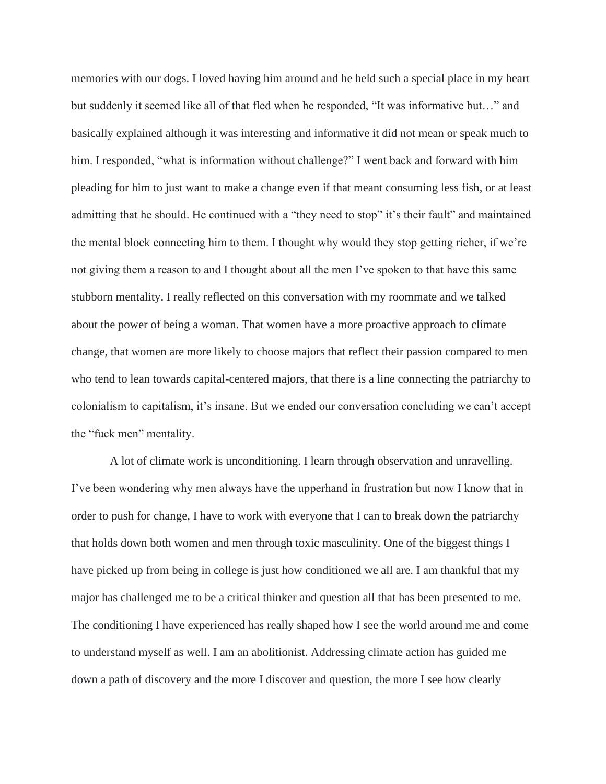memories with our dogs. I loved having him around and he held such a special place in my heart but suddenly it seemed like all of that fled when he responded, "It was informative but…" and basically explained although it was interesting and informative it did not mean or speak much to him. I responded, "what is information without challenge?" I went back and forward with him pleading for him to just want to make a change even if that meant consuming less fish, or at least admitting that he should. He continued with a "they need to stop" it's their fault" and maintained the mental block connecting him to them. I thought why would they stop getting richer, if we're not giving them a reason to and I thought about all the men I've spoken to that have this same stubborn mentality. I really reflected on this conversation with my roommate and we talked about the power of being a woman. That women have a more proactive approach to climate change, that women are more likely to choose majors that reflect their passion compared to men who tend to lean towards capital-centered majors, that there is a line connecting the patriarchy to colonialism to capitalism, it's insane. But we ended our conversation concluding we can't accept the "fuck men" mentality.

A lot of climate work is unconditioning. I learn through observation and unravelling. I've been wondering why men always have the upperhand in frustration but now I know that in order to push for change, I have to work with everyone that I can to break down the patriarchy that holds down both women and men through toxic masculinity. One of the biggest things I have picked up from being in college is just how conditioned we all are. I am thankful that my major has challenged me to be a critical thinker and question all that has been presented to me. The conditioning I have experienced has really shaped how I see the world around me and come to understand myself as well. I am an abolitionist. Addressing climate action has guided me down a path of discovery and the more I discover and question, the more I see how clearly